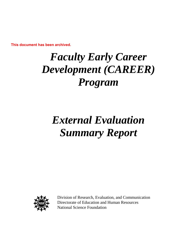# *Faculty Early Career Development (CAREER) Program*

# *External Evaluation Summary Report*



Division of Research, Evaluation, and Communication Directorate of Education and Human Resources National Science Foundation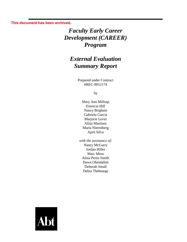# *Faculty Early Career Development (CAREER) Program*

## *External Evaluation Summary Report*

Prepared under Contract #REC-9912174

by

Mary Ann Millsap Emorcia Hill Nancy Brigham Gabriela Garcia Marjorie Levin Alina Martinez Marla Nierenberg April Silva

*with the assistance of:* Nancy McGarry Jordan Hiller Marc Moss Alina Perez-Smith Dawn Obeidallah Deborah Small Debra Thebearge

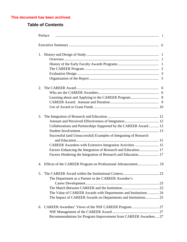## **Table of Contents**

| 2. |                                                                   |
|----|-------------------------------------------------------------------|
|    |                                                                   |
|    |                                                                   |
|    |                                                                   |
|    |                                                                   |
| 3. |                                                                   |
|    |                                                                   |
|    | Collaborations and Partnerships Supported by the CAREER Award 13  |
|    |                                                                   |
|    | Successful (and Unsuccessful) Examples of Integrating of Research |
|    |                                                                   |
|    | CAREER Awardees with Extensive Integration Activities  15         |
|    | Factors Enhancing the Integration of Research and Education  17   |
|    | Factors Hindering the Integration of Research and Education 17    |
| 4. |                                                                   |
| 5. |                                                                   |
|    | The Department as a Partner in the CAREER Awardee's               |
|    |                                                                   |
|    |                                                                   |
|    | The Value of CAREER Awards with Departments and Institutions  24  |
|    | The Impact of CAREER Awards on Departments and Institutions 25    |
| 6. |                                                                   |
|    |                                                                   |
|    | Recommendations for Program Improvement from CAREER Awardees 27   |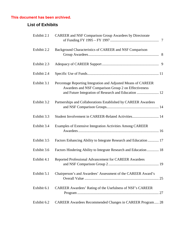## **List of Exhibits**

| Exhibit 2.1 | <b>CAREER and NSF Comparison Group Awardees by Directorate</b>                                                        |
|-------------|-----------------------------------------------------------------------------------------------------------------------|
| Exhibit 2.2 | Background Characteristics of CAREER and NSF Comparison                                                               |
| Exhibit 2.3 |                                                                                                                       |
| Exhibit 2.4 |                                                                                                                       |
| Exhibit 3.1 | Percentage Reporting Integration and Adjusted Means of CAREER<br>Awardees and NSF Comparison Group 2 on Effectiveness |
| Exhibit 3.2 | Partnerships and Collaborations Established by CAREER Awardees                                                        |
| Exhibit 3.3 | Student Involvement in CAREER-Related Activities 14                                                                   |
| Exhibit 3.4 | Examples of Extensive Integration Activities Among CAREER                                                             |
| Exhibit 3.5 | Factors Enhancing Ability to Integrate Research and Education  17                                                     |
| Exhibit 3.6 | Factors Hindering Ability to Integrate Research and Education  18                                                     |
| Exhibit 4.1 | Reported Professional Advancement for CAREER Awardees                                                                 |
| Exhibit 5.1 | Chairperson's and Awardees' Assessment of the CAREER Award's                                                          |
| Exhibit 6.1 | CAREER Awardees' Rating of the Usefulness of NSF's CAREER                                                             |
| Exhibit 6.2 | CAREER Awardees Recommended Changes in CAREER Program 28                                                              |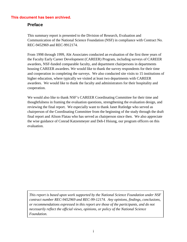### **Preface**

This summary report is presented to the Division of Research, Evaluation and Communication of the National Science Foundation (NSF) in compliance with Contract No. REC-9452969 and REC-9912174.

From 1998 through 1999, Abt Associates conducted an evaluation of the first three years of the Faculty Early Career Development (CAREER) Program, including surveys of CAREER awardees, NSF-funded comparable faculty, and department chairpersons in departments housing CAREER awardees. We would like to thank the survey respondents for their time and cooperation in completing the surveys. We also conducted site visits to 15 institutions of higher education, where typically we visited at least two departments with CAREER awardees. We would like to thank the faculty and administrators for their hospitality and cooperation.

We would also like to thank NSF's CAREER Coordinating Committee for their time and thoughtfulness in framing the evaluation questions, strengthening the evaluation design, and reviewing the final report. We especially want to thank Janet Rutledge who served as chairperson of the Coordinating Committee from the beginning of the study through the draft final report and Alison Flatau who has served as chairperson since then. We also appreciate the wise guidance of Conrad Katzenmeyer and Deh-I Hsiung, our program officers on this evaluation.

*This report is based upon work supported by the National Science Foundation under NSF contract number REC-9452969 and REC-99-12174. Any opinions, findings, conclusions, or recommendations expressed in this report are those of the participants, and do not necessarily reflect the official views, opinions, or policy of the National Science Foundation.*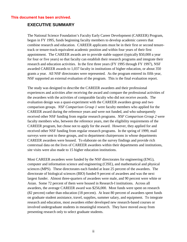#### **EXECUTIVE SUMMARY**

The National Science Foundation's Faculty Early Career Development (CAREER) Program, begun in FY 1995, funds beginning faculty members to develop academic careers that combine research and education. CAREER applicants must be in their first or second tenuretrack or tenure-track-equivalent academic position and within four years of their first appointment. The CAREER awards are to provide stable support (typically \$50,000 a year for four or five years) so that faculty can establish their research programs and integrate their research and education activities. In the first three years (FY 1995 through FY 1997), NSF awarded CAREER awards to 1,037 faculty in institutions of higher education, or about 350 grants a year. All NSF directorates were represented. As the program entered its fifth year, NSF supported an external evaluation of the program. This is the final evaluation report.

The study was designed to describe the CAREER awardees and their professional experiences and activities after receiving the award and compare the professional activities of the awardees with the activities of comparable faculty who did not receive awards. The evaluation design was a quasi-experiment with the CAREER awardees group and two comparison groups. *NSF Comparison Group 1* were faculty members who applied for the CAREER award during the reference years and were not funded, and who subsequently received other NSF funding from regular research programs. *NSF Comparison Group 2* were faculty members who, between the reference years, met the eligibility requirements of the CAREER program, but chose not to apply for the award. However, they applied for and received other NSF funding from regular research programs. In the spring of 1999, mail surveys were sent to these groups, and to department chairpersons in whose departments CAREER awardees were housed. To elaborate on the survey findings and provide rich contextual data on the lives of CAREER awardees within their departments and institutions, site visits were also made to 15 higher education institutions.

Most CAREER awardees were funded by the NSF directorates for engineering (ENG), computer and information science and engineering (CISE), and mathematical and physical sciences (MPS). These directorates each funded at least 25 percent of the awardees. The directorate of biological sciences (BIO) funded 9 percent of awardees and was the next largest funder. Almost three-quarters of awardees were male, and 90 percent were white or Asian. Some 72 percent of them were housed in Research-I institutions. Across all awardees, the average CAREER award was \$256,000. Most funds were spent on research (82 percent) rather than education (18 percent). At least 80 percent of awardees spent funds on graduate student assistance, travel, supplies, summer salary, and equipment. To integrate research and education, most awardees either developed new research-based courses or involved undergraduate students in meaningful research. They have moved away from presenting research only to select graduate students.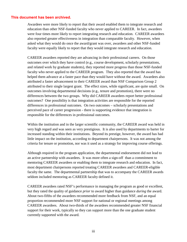Awardees were more likely to report that their award enabled them to integrate research and education than other NSF-funded faculty who never applied to CAREER. In fact, awardees were four times more likely to report integrating research and education. CAREER awardees also reported greater effectiveness in integration than comparable faculty. However, when asked what they would do once the award/grant was over, awardees and other NSF-funded faculty were equally likely to report that they would integrate research and education.

CAREER awardees reported they are advancing in their professional careers. On those outcomes over which they have control (e.g., course development, scholarly presentations, and related work by graduate students), they reported more progress than those NSF-funded faculty who never applied to the CAREER program. They also reported that the award has helped them advance at a faster pace than they would have without the award. Awardees also attributed a faster advancement to their CAREER award than NSF Comparison Group 2 attributed to their single largest grant. The effect sizes, while significant, are quite small. On outcomes involving departmental decisions (e.g., tenure and promotion), there were no differences between the two groups. Why did CAREER awardees report better professional outcomes? One possibility is that integration activities are responsible for the reported differences in professional outcomes. On two outcomes – scholarly presentations and perceived pace of career progression - there is supporting evidence that integration is responsible for the differences in professional outcomes.

Within the institution and in the larger scientific community, the CAREER award was held in very high regard and was seen as very prestigious. It is also used by departments to barter for increased standing within their institutions. Beyond its prestige, however, the award has had little impact on the institution, according to department chairpersons. It was not among the criteria for tenure or promotion, nor was it used as a strategy for improving course offerings.

Although required in the program application, the departmental endorsement did not lead to an active partnership with awardees. It was more often a sign-off than a commitment to mentoring CAREER awardees or enabling them to integrate research and education. In fact, most department chairpersons reported treating CAREER awardees and CAREER-eligible faculty the same. The departmental partnership that was to accompany the CAREER awards seldom included mentoring as CAREER faculty defined it.

CAREER awardees rated NSF's performance in managing the program as good or excellent, but they rated the quality of guidance *prior* to award higher than guidance *during* the award. About two-fifths of the awardees recommended more feedback from NSF, and an equal proportion recommended more NSF support for national or regional meetings among CAREER awardees. About two-thirds of the awardees recommended greater NSF financial support for their work, typically so they can support more than the one graduate student currently supported with the award.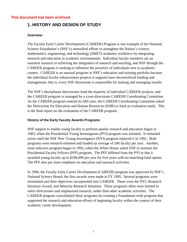## **1. HISTORY AND DESIGN OF STUDY**

#### **Overview**

The Faculty Early Career Development (CAREER) Program is one example of the National Science Foundation's (NSF's) intensified efforts to strengthen the Nation's science, mathematics, engineering, and technology (SMET) academic workforce by integrating research and education in academic environments. Individual faculty members are an essential resource in achieving the integration of research and teaching, and NSF through the CAREER program is seeking to influence the priorities of individuals new to academic careers. CAREER is an unusual program in NSF's education and training portfolio because the individual faculty enhancement projects it supports have decentralized funding and management; that is, every NSF directorate is responsible for making and managing awards.

The NSF's disciplinary directorates fund the majority of individual CAREER projects, and the CAREER program is managed by a cross-directorate CAREER Coordinating Committee. As the CAREER program entered its fifth year, the CAREER Coordinating Committee asked the Directorate for Education and Human Resources (EHR) to fund an evaluation study. This is the final report on the evaluation of the CAREER program.

#### **History of the Early Faculty Awards Programs**

NSF support to enable young faculty to perform quality research and education began in 1983, when the Presidential Young Investigators (PYI) program was initiated. It remained active until the NSF New Young Investigators (NYI) program replaced it in 1992. Both programs were research-oriented and funded an average of 200 faculty per year. Another, more selective program began in 1992, when the White House asked NSF to institute the Presidential Faculty Fellows (PFF) program. The PFF differed from the PYI in that it awarded young faculty up to \$100,000 per year for five years with no matching-fund option. The PFF also put more emphasis on education and outreach activities.

In 1994, the Faculty Early Career Development (CAREER) program was approved by NSF's National Science Board; the first awards were made in FY 1995. Several programs were terminated and their objectives incorporated into CAREER. These were the NYI, Research Initiation Award, and Minority Research Initiation. These programs often were limited to select directorates and emphasized research, rather than other academic activities. The CAREER program consolidated these programs by creating a Foundation-wide program that supported the research and education efforts of beginning faculty within the context of their academic career development.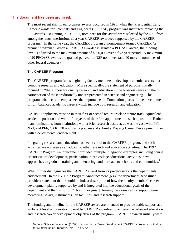The most recent shift in early-career awards occurred in 1996, when the Presidential Early Career Awards for Scientists and Engineers (PECASE) program was instituted, replacing the PFF awards. Beginning in FY 1997, nominees for this award were selected by the NSF from among the "most meritorious first year CAREER awardees supported by the CAREER program." In the same year, the CAREER program announcement termed CAREER "a premier program." When a CAREER awardee is granted a PECASE award, the funding level is adjusted to the maximum amount of \$500,000 over a five-year period. A maximum of 20 PECASE awards are granted per year to NSF nominees (and 40 more to nominees of other federal agencies).

#### **The CAREER Program**

The CAREER program funds beginning faculty members to develop academic careers that combine research and education. More specifically, the statement of purpose initially focused on "the support for quality research and education in the broadest sense and the full participation of those traditionally underrepresented in science and engineering. This program enhances and emphasizes the importance the Foundation places on the development of full, balanced academic careers which include both research and education."

CAREER applicants must be in their first or second tenure-track or tenure-track-equivalent academic position and within four years of their first appointment to such a position. Rather than nominations from institutions with a brief research abstract, as was the case with PYI, NYI, and PFF, CAREER applicants prepare and submit a 15-page Career Development Plan with a departmental endorsement.

Integrating research and education has been central to the CAREER program, and such activities are not seen as an add-on to other research and education activities. The 1997 CAREER Program Announcement provided multiple integration examples, including course or curriculum development; participation in pre-college educational activities; new approaches to graduate training and mentoring; and outreach to schools and communities. $1$ 

What further distinguishes the CAREER award from its predecessors is the departmental endorsement. In the FY 1997 Program Announcement (p.4), the department head *must* provide a statement that "should include a description of how the faculty member's career development plan is supported by and is integrated into the educational goals of the department and the institution." [bold in original] Among the examples for support were mentoring, salary, instruments, lab facilities, and research support.

The funding and timeline for the CAREER award are intended to provide stable support at a sufficient level and duration to enable CAREER awardees to achieve the balanced education and research career development objectives of the program. CAREER awards initially were

 $\mathbf{1}$ 1 National Science Foundation (1997). Faculty Early Career Development (CAREER) Program, Guidelines for Submission of Proposals. NSF 97-87, p.4.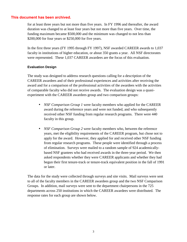for at least three years but not more than five years. In FY 1996 and thereafter, the award duration was changed to at least four years but not more than five years. Over time, the funding maximum became \$500,000 and the minimum was changed to not less than \$200,000 for four years or \$250,000 for five years.

In the first three years (FY 1995 through FY 1997), NSF awarded CAREER awards to 1,037 faculty in institutions of higher education, or about 350 grants a year. All NSF directorates were represented. These 1,037 CAREER awardees are the focus of this evaluation.

#### **Evaluation Design**

The study was designed to address research questions calling for a description of the CAREER awardees and of their professional experiences and activities after receiving the award and for a comparison of the professional activities of the awardees with the activities of comparable faculty who did not receive awards. The evaluation design was a quasiexperiment with the CAREER awardees group and two comparison groups:

- *NSF Comparison Group 1* were faculty members who applied for the CAREER award during the reference years and were not funded, and who subsequently received other NSF funding from regular research programs. There were 440 faculty in this group.
- *NSF Comparison Group 2* were faculty members who, between the reference years, met the eligibility requirements of the CAREER program, but chose not to apply for the award. However, they applied for and received other NSF funding from regular research programs. These people were identified through a process of elimination. Surveys were mailed to a random sample of 924 academicallybased NSF grantees who had received awards in the three-year period. We then asked respondents whether they were CAREER applicants and whether they had begun their first tenure-track or tenure-track equivalent position in the fall of 1991 or later.

The data for the study were collected through surveys and site visits. Mail surveys were sent to all of the faculty members in the CAREER awardees group and the two NSF Comparison Groups. In addition, mail surveys were sent to the department chairpersons in the 725 departments across 250 institutions in which the CAREER awardees were distributed. The response rates for each group are shown below.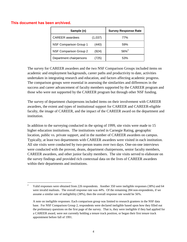| Sample (n)                    |         | <b>Survey Response Rate</b> |
|-------------------------------|---------|-----------------------------|
| <b>CAREER</b> awardees        | (1,037) | 77%                         |
| <b>NSF Comparison Group 1</b> | (440)   | 59%                         |
| NSF Comparison Group 2        | (924)   | $56\%^2$                    |
| Department chairpersons       | (725)   | 53%                         |

The survey for CAREER awardees and the two NSF Comparison Groups included items on academic and employment backgrounds, career paths and productivity to date, activities undertaken in integrating research and education, and factors affecting academic progress. The comparison groups were essential in assessing the similarities and differences in the success and career advancement of faculty members supported by the CAREER program and those who were not supported by the CAREER program but through other NSF funding.

The survey of department chairpersons included items on their involvement with CAREER awardees, the extent and types of institutional support for CAREER and CAREER-eligible faculty, the image of CAREER, and the impact of the CAREER award on the department and institution.

In addition to the surveying conducted in the spring of 1999, site visits were made to 15 higher education institutions. The institutions varied in Carnegie Rating, geographic location, public vs. private support, and in the number of CAREER awardees on campus. Typically, at least two departments with CAREER awardees were visited in each institution. All site visits were conducted by two-person teams over two days. One-on-one interviews were conducted with the provost, deans, department chairpersons, senior faculty members, CAREER awardees, and other junior faculty members. The site visits served to elaborate on the survey findings and provided rich contextual data on the lives of CAREER awardees within their departments and institutions.

<sup>&</sup>lt;u>.</u> <sup>2</sup> Valid responses were obtained from 226 respondents. Another 350 were ineligible responses (38%) and 64 were invalid mailouts. The overall response rate was 44%. Of the remaining 284 non-respondents, if we assume a similar rate of ineligibility (38%), then the overall response rate would be 56%.

A note on ineligible responses: Each comparison group was limited to research grantees in the NSF data base. For NSF Comparison Group 2, respondents were declared ineligible based upon how they filled out the preliminary questions on the first page of the survey. That is, they were ineligible if they had applied for a CAREER award, were not currently holding a tenure track position, or began their first tenure track appointment before fall of 1991.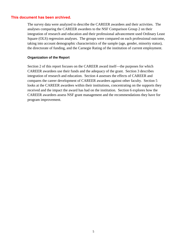The survey data were analyzed to describe the CAREER awardees and their activities. The analyses comparing the CAREER awardees to the NSF Comparison Group 2 on their integration of research and education and their professional advancement used Ordinary Least Square (OLS) regression analyses. The groups were compared on each professional outcome, taking into account demographic characteristics of the sample (age, gender, minority status), the directorate of funding, and the Carnegie Rating of the institution of current employment.

#### **Organization of the Report**

Section 2 of this report focuses on the CAREER award itself—the purposes for which CAREER awardees use their funds and the adequacy of the grant. Section 3 describes integration of research and education. Section 4 assesses the effects of CAREER and compares the career development of CAREER awardees against other faculty. Section 5 looks at the CAREER awardees within their institutions, concentrating on the supports they received and the impact the award has had on the institution. Section 6 explores how the CAREER awardees assess NSF grant management and the recommendations they have for program improvement.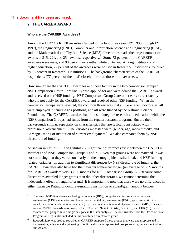#### **2. THE CAREER AWARD**

#### **Who are the CAREER Awardees?**

Among the 1,037 CAREER awardees funded in the first three years (FY 1995 through FY 1997), the Engineering (ENG), Computer and Information Science and Engineering (CISE), and the Mathematical and Physical Science (MPS) directorates made the largest number of awards at 315, 291, and 254 awards, respectively.<sup>3</sup> Some 73 percent of the CAREER awardees were male, and 90 percent were either white or Asian. Among institutions of higher education, 72 percent of the awardees were housed in Research-I institutions, followed by 13 percent in Research-II institutions. The background characteristics of the CAREER respondents (77 percent of the total) closely mirrored those of all awardees.

How similar are the CAREER awardees and those faculty in the two comparison groups? NSF Comparison Group 1 are faculty who applied for and were denied the CAREER award, and received other NSF funding. NSF Comparison Group 2 are other early career faculty who did not apply for the CAREER award and received other NSF funding. When the comparison groups were selected, the common thread was that all were recent doctorates, all were employed in tenure-track positions, and all were funded by the National Science Foundation. The CAREER awardees had funds to integrate research and education, while the NSF Comparison Groups had funds from the regular research program. But are their backgrounds similar, especially on characteristics that are typically associated with professional advancement? The variables we tested were: gender, age, race/ethnicity, and Carnegie Rating of institution of current employment.<sup>4</sup> We also compared them by NSF directorate of funding.

As shown in Exhibit 2.1 and Exhibit 2.2, significant differences exist between the CAREER awardees and NSF Comparison Groups 1 and 2. Given that groups were not matched, it was not surprising that they varied on nearly all the demographic, institutional, and NSF fundingrelated variables. In addition to significant differences by NSF directorate of funding, the CAREER awardees also have had their awards somewhat longer (an average of 30.9 months for CAREER awardees versus 26.5 months for NSF Comparison Group 2). (Because some directorates awarded longer grants than did other directorates, we cannot determine the independent effect of length of grant.) It is important to note that there were no differences in either Carnegie Rating of doctorate-granting institution or award/grant amount between

<sup>3</sup> <sup>3</sup> The seven NSF directorates are biological sciences (BIO); computer and information science and engineering (CISE); education and human resources (EHR); engineering (ENG); geosciences (GEO); social, behavioral and economic sciences (SBE); and mathematical and physical sciences (MPS). Because so few CAREER awards were made in FY 1995-FY 1997 in GEO (47), SBE (19), and EHR (16), these awardees are grouped into a single category in the later analysis. The one awardee from the Office of Polar Programs (OPP) is also included in this "combined directorate" group.

<sup>&</sup>lt;sup>4</sup> Race/ethnicity was used to see whether CAREER supported those groups that were underrepresented in mathematics, science and engineering. Traditionally underrepresented groups are all groups except whites and Asians.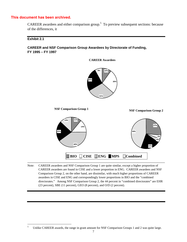CAREER awardees and either comparison group.<sup>5</sup> To preview subsequent sections: because of the differences, it

**CAREER Awardees**

**Exhibit 2.1** 

**CAREER and NSF Comparison Group Awardees by Directorate of Funding, FY 1995 – FY 1997** 

![](_page_13_Figure_4.jpeg)

Note: CAREER awardees and NSF Comparison Group 1 are quite similar, except a higher proportion of CAREER awardees are found in CISE and a lower proportion in ENG. CAREER awardees and NSF Comparison Group 2, on the other hand, are dissimilar, with much higher proportions of CAREER awardees in CISE and ENG and correspondingly lower proportions in BIO and the "combined directorates." Among NSF Comparison Group 2, the 44 percent in "combined directorates" are EHR (23 percent), SBE (11 percent), GEO (8 percent), and O/D (2 percent).

 $\sqrt{5}$ Unlike CAREER awards, the range in grant amount for NSF Comparison Groups 1 and 2 was quite large.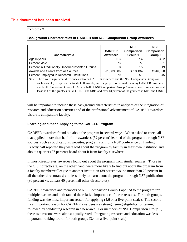#### **Exhibit 2.2**

|                                                                                                       |                 | <b>NSF</b> | <b>NSF</b> |  |
|-------------------------------------------------------------------------------------------------------|-----------------|------------|------------|--|
|                                                                                                       | <b>CAREER</b>   | Comparison | Comparison |  |
| <b>Characteristic</b>                                                                                 | <b>Awardees</b> | Group 1    | Group 2    |  |
| Age in years                                                                                          | 36.3            | 37.4       | 38.2       |  |
| Percent Male                                                                                          | 73              | 77         | 51         |  |
| Percent in Traditionally Underrepresented Groups                                                      | 8               | 15         | 19         |  |
| Awards and Grants from All Sources                                                                    | \$1,089,886     | \$858,134  | \$846,028  |  |
| Percent Employed in Research I Institutions                                                           | 70              | 51         | 45         |  |
| Note: There were significant differences between CAREER awardees and the NSF Comparison Groups on     |                 |            |            |  |
| each variable, except for the total of all awards, and the proportion of males among CAREER awardees  |                 |            |            |  |
| and NSF Comparison Group 1. Almost half of NSF Comparison Group 2 were women. Women were at           |                 |            |            |  |
| least half of the grantees in BIO, HER, and SBE, and over 43 percent of the grantees in MPS and CISE. |                 |            |            |  |

#### **Background Characteristics of CAREER and NSF Comparison Group Awardees**

will be important to include these background characteristics in analyses of the integration of research and education activities and of the professional advancement of CAREER awardees vis-a-vis comparable faculty.

#### **Learning about and Applying to the CAREER Program**

CAREER awardees found out about the program in several ways. When asked to check all that applied, more than half of the awardees (52 percent) learned of the program through NSF sources, such as publications, websites, program staff, or a NSF conference on funding. Exactly half reported they were told about the program by faculty in their own institution and about a quarter (27 percent) heard about it from faculty elsewhere.

In most directorates, awardees found out about the program from similar sources. Those in the CISE directorate, on the other hand, were more likely to find out about the program from a faculty member/colleague at another institution (39 percent vs. no more than 20 percent in all the other directorates) and less likely to learn about the program through NSF publications (30 percent vs. at least 40 percent all other directorates).

CAREER awardees and members of NSF Comparison Group 1 applied to the program for multiple reasons and both ranked the relative importance of these reasons. For both groups, funding was the most important reason for applying (4.6 on a five-point scale). The second most important reason for CAREER awardees was strengthening eligibility for tenure, followed by conducting research in a new area. For members of NSF Comparison Group 1, these two reasons were almost equally rated. Integrating research and education was less important, ranking fourth for both groups (3.4 on a five-point scale).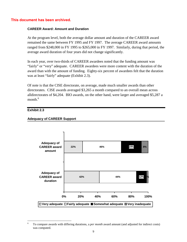#### **CAREER Award: Amount and Duration**

At the program level, both the average dollar amount and duration of the CAREER award remained the same between FY 1995 and FY 1997. The average CAREER award amounts ranged from \$248,000 in FY 1995 to \$265,000 in FY 1997. Similarly, during that period, the average award duration of four years did not change significantly.

In each year, over two-thirds of CAREER awardees noted that the funding amount was "fairly" or "very" adequate. CAREER awardees were more content with the duration of the award than with the amount of funding. Eighty-six percent of awardees felt that the duration was at least "fairly" adequate (Exhibit 2.3).

Of note is that the CISE directorate, on average, made much smaller awards than other directorates. CISE awards averaged \$3,265 a month compared to an overall mean across alldirectorates of \$4,204. BIO awards, on the other hand, were larger and averaged \$5,287 a month. $6$ 

#### **Exhibit 2.3**

#### **Adequacy of CAREER Support**

![](_page_15_Figure_7.jpeg)

<sup>6</sup> 6 To compare awards with differing durations, a *per month* award amount (and adjusted for indirect costs) was computed.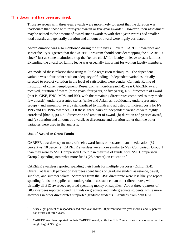Those awardees with three-year awards were more likely to report that the duration was inadequate than those with four-year awards or five-year awards.<sup>7</sup> However, their assessment may be related to the amount of award since awardees with three-year awards had smaller total awards, and generally duration and amount of award were highly correlated.

Award duration was also mentioned during the site visits. Several CAREER awardees and senior faculty suggested that the CAREER program should consider stopping the "CAREER clock" just as some institutions stop the "tenure clock" for faculty on leave to start families. Extending the award for family leave was especially important for women faculty members.

We modeled these relationships using multiple regression techniques. The dependent variable was a four-point scale on adequacy of funding. Independent variables initially selected to predict variation in the level of satisfaction were gender, Carnegie Rating of institution of current employment (Research-I vs. non-Research-I), year CAREER award received, duration of award (three years, four years, or five years), NSF directorate of award (that is, CISE, ENG, MPS, and BIO, with the remaining directorates combined as they made few awards), underrepresented status (white and Asian vs. traditionally underrepresented groups), and amount of award (standardized to month and adjusted for indirect costs for FY 1995 and FY 1996 awardees). Of these, three pairs of independent variables were highly correlated [that is, (a) NSF directorate and amount of award, (b) duration and year of award, and (c) duration and amount of award], so directorate and duration rather than the other variables were used in the analysis.

#### **Use of Award or Grant Funds**

CAREER awardees spent more of their award funds on research than on education (82 percent vs. 18 percent). CAREER awardees were more similar to NSF Comparison Group 1 than they were to NSF Comparison Group 2 in their use of funds, with NSF Comparison Group 2 spending somewhat more funds (25 percent) on education.<sup>8</sup>

CAREER awardees reported spending their funds for multiple purposes (Exhibit 2.4). Overall, at least 80 percent of awardees spent funds on graduate student assistance, travel, supplies, and summer salary. Awardees from the CISE directorate were less likely to report spending funds on supplies and undergraduate assistance than other directorates, while virtually all BIO awardees reported spending money on supplies. About three-quarters of BIO awardees reported spending funds on graduate and undergraduate students, while more awardees in other directorates supported graduate students. Grantees from both NSF

 $\overline{7}$ Sixty-eight percent of respondents had four-year awards, 20 percent had five-year awards, and 12 percent had awards of three years.

<sup>&</sup>lt;sup>8</sup> CAREER awardees reported on their CAREER award, while the NSF Comparison Groups reported on their single largest NSF grant.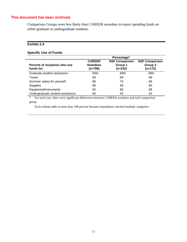Comparison Groups were less likely than CAREER awardees to report spending funds on either graduate or undergraduate students.

#### **Exhibit 2.4**

#### **Specific Use of Funds**

|                                             | Percentage*                                   |                                               |                                               |  |
|---------------------------------------------|-----------------------------------------------|-----------------------------------------------|-----------------------------------------------|--|
| Percent of recipients who use<br>funds for: | <b>CAREER</b><br><b>Awardees</b><br>$(n=789)$ | <b>NSF Comparison</b><br>Group 1<br>$(n=242)$ | <b>NSF Comparison</b><br>Group 2<br>$(n=173)$ |  |
| Graduate student assistance                 | 93%                                           | 69%                                           | 48%                                           |  |
| Travel                                      | 90                                            | 69                                            | 68                                            |  |
| Summer salary for yourself                  | 86                                            | 70                                            | 66                                            |  |
| <b>Supplies</b>                             | 85                                            | 69                                            | 65                                            |  |
| Equipment/instruments                       | 82                                            | 66                                            | 68                                            |  |
| Undergraduate student assistance            | 65                                            | 43                                            | 42                                            |  |

\* For each case, there were significant differences between CAREER awardees and each comparison group.

Each column adds to more than 100 percent because respondents checked multiple categories.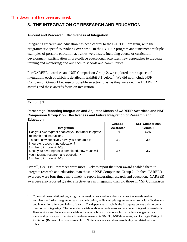## **3. THE INTEGRATION OF RESEARCH AND EDUCATION**

#### **Amount and Perceived Effectiveness of Integration**

Integrating research and education has been central to the CAREER program, with the programmatic specifics evolving over time. In the FY 1997 program announcement multiple examples of possible education activities were listed, including course or curriculum development; participation in pre-college educational activities; new approaches to graduate training and mentoring; and outreach to schools and communities.

For CAREER awardees and NSF Comparison Group 2, we explored three aspects of integration, each of which is detailed in Exhibit 3.1 below.<sup>9</sup> We did not include NSF Comparison Group 1 because of possible selection bias, as they were declined CAREER awards and these awards focus on integration.

#### **Exhibit 3.1**

#### **Percentage Reporting Integration and Adjusted Means of CAREER Awardees and NSF Comparison Group 2 on Effectiveness and Future Integration of Research and Education**

|                                                       | <b>CAREER</b>   | <b>NSF Comparison</b> |
|-------------------------------------------------------|-----------------|-----------------------|
| Integration                                           | <b>Awardees</b> | Group 2               |
| Has your award/grant enabled you to further integrate | 78%             | 52%                   |
| research and instruction?                             |                 |                       |
| To date, how effectively have you been able to        | 3.9             | 3.6                   |
| integrate research and education?                     |                 |                       |
| [not at all (1) to a great deal (5)]                  |                 |                       |
| Once your award/grant is completed, how much will     | 3.7             | 3.7                   |
| you integrate research and education?                 |                 |                       |
| [not at all $(1)$ to a great deal $(5)$ ]             |                 |                       |

Overall, CAREER awardees were more likely to report that their award enabled them to integrate research and education than those in NSF Comparison Group 2. In fact, CAREER awardees were four times more likely to report integrating research and education. CAREER awardees also reported greater effectiveness in integrating than did those in NSF Comparison

<sup>&</sup>lt;u>.</u> 9 To model these relationships, a logistic regression was used to address whether the awards enabled recipients to further integrate research and education; while multiple regression was used with effectiveness and integration after completion of award. The dependent variable in the first question was a dichotomous question on integrating. The dependent variables about effectiveness and continued integration were both five-point scales. Independent variables included a block of demographic variables (age, gender, and membership in a group traditionally underrepresented in SMET), NSF directorate, and Carnegie Rating of institution (Research I vs. non-Research I). No independent variables were highly correlated with each other.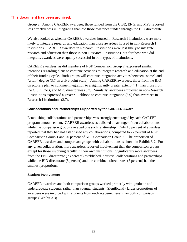Group 2. Among CAREER awardees, those funded from the CISE, ENG, and MPS reported less effectiveness in integrating than did those awardees funded through the BIO directorate.

We also looked at whether CAREER awardees housed in Research I institutions were more likely to integrate research and education than those awardees housed in non-Research I institutions. CAREER awardees in Research I institutions were less likely to integrate research and education than those in non-Research I institutions, but for those who did integrate, awardees were equally successful in both types of institutions.

CAREER awardees, as did members of NSF Comparison Group 2, expressed similar intentions regarding plans to continue activities to integrate research and education at the end of their funding cycle. Both groups will continue integration activities between "some" and "a fair" degree (3.7 on a five-point scale). Among CAREER awardees, those from the BIO directorate plan to continue integration to a significantly greater extent (4.1) than those from the CISE, ENG, and MPS directorates (3.7). Similarly, awardees employed in non-Research I institutions expressed a greater likelihood to continue integration (3.9) than awardees in Research I institutions (3.7).

#### **Collaborations and Partnerships Supported by the CAREER Award**

Establishing collaborations and partnerships was strongly encouraged by each CAREER program announcement. CAREER awardees established an average of two collaborations, while the comparison groups averaged one such relationship. Only 18 percent of awardees reported that they had not established any collaborations, compared to 27 percent of NSF Comparison Group 1 and 70 percent of NSF Comparison Group 2. The proportion of CAREER awardees and comparison groups with collaborations is shown in Exhibit 3.2. For any given collaboration, more awardees reported involvement than the comparison groups except for those involving faculty in their own institutions. Significantly more awardees from the ENG directorate (73 percent) established industrial collaborations and partnerships while the BIO directorate (8 percent) and the combined directorates (5 percent) had the smallest proportions.

#### **Student Involvement**

CAREER awardees and both comparison groups worked primarily with graduate and undergraduate students, rather than younger students. Significantly larger proportions of awardees were involved with students from each academic level than both comparison groups (Exhibit 3.3).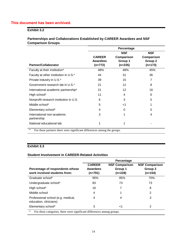#### **Exhibit 3.2**

#### **Partnerships and Collaborations Established by CAREER Awardees and NSF Comparison Groups**

|                 | <b>NSF</b>                                                                                  | <b>NSF</b> |
|-----------------|---------------------------------------------------------------------------------------------|------------|
| <b>CAREER</b>   | Comparison                                                                                  | Comparison |
| <b>Awardees</b> | Group 1                                                                                     | Group 2    |
|                 |                                                                                             | $(n=173)$  |
| 48%             | 48%                                                                                         | 45%        |
| 44              | 31                                                                                          | 36         |
| 39              | 15                                                                                          | 7          |
| 21              | 12 <sup>2</sup>                                                                             | 8          |
| 21              | 12 <sup>2</sup>                                                                             | 16         |
| 11              | 4                                                                                           | 6          |
| 6               | 3                                                                                           | 5          |
| 5               | -1                                                                                          |            |
| 4               | 0                                                                                           | 0          |
| 3               | 1                                                                                           | 4          |
| 1               |                                                                                             |            |
|                 | $(n=772)$<br>. There the case is continuous the case of contract Change of Change of Change | $(n=235)$  |

For these partners there were significant differences among the groups.

#### **Exhibit 3.3**

#### **Student Involvement in CAREER-Related Activities**

|                                                                                   | Percentage                             |                                             |                                             |  |
|-----------------------------------------------------------------------------------|----------------------------------------|---------------------------------------------|---------------------------------------------|--|
| Percentage of respondents whose<br>work involved students from:                   | <b>CAREER</b><br>Awardees<br>$(n=791)$ | <b>NSF Comparison</b><br>Group 1<br>(n=228) | <b>NSF Comparison</b><br>Group 2<br>(n=154) |  |
| Graduate school*                                                                  | 95%                                    | 85%                                         | 70%                                         |  |
| Undergraduate school*                                                             | 83                                     | 73                                          | 73                                          |  |
| High school*                                                                      | 16                                     | 7                                           | 8                                           |  |
| Middle school                                                                     | 4                                      |                                             | 2                                           |  |
| Professional school (e.g. medical,<br>education, clinicians)                      | 4                                      | 4                                           | 3                                           |  |
| Elementary school*                                                                | 3                                      | ا>                                          | 2                                           |  |
| $\star$<br>For these categories, there were significant differences among groups. |                                        |                                             |                                             |  |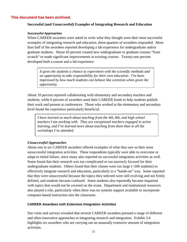#### **Successful (and Unsuccessful) Examples of Integrating Research and Education**

#### **Successful Approaches**

When CAREER awardees were asked to write what they thought were their most successful examples of integrating research and education, three-quarters of awardees responded. More than half of the awardees reported developing a lab experience for undergraduate and/or graduate students. About 43 percent created new undergraduate or graduate courses "from scratch" or made significant improvements in existing courses. Twenty-one percent developed both a course and a lab experience.

*It gives the students a chance to experiment with the scientific methods and an opportunity to take responsibility for their own education. I've been impressed by how much students can behave like scientists when given the opportunity.*

About 10 percent reported collaborating with elementary and secondary teachers and students, while 6 percent of awardees used their CAREER funds to help students publish their work and present at conferences. Those who worked at the elementary and secondary level found the experience particularly beneficial.

*I have learned so much about teaching from the 4th, 8th, and high school teachers I am working with. They are exceptional teachers engaged in active learning, and I've learned more about teaching from them than in all the workshops I've attended.*

#### *Unsuccessful Approaches*

About one in six CAREER awardees offered examples of what they saw as their most unsuccessful integration activities. These respondents typically were able to overcome or adapt to initial failure, since many also reported on successful integration activities as well. Some found that their research was too complicated or too narrowly focused for their undergraduate students. Others found that their classes were too large  $(\sim 200$  students) to effectively integrate research and education, particularly in a "hands-on" way. Some reported that they were unsuccessful because the topics they selected were still evolving and not firmly defined, and students became confused. Some students also reportedly became impatient with topics that would not be covered on the exam. Department and institutional resources also played a role, particularly when there was no systems support available to incorporate computer-based instruction into the classroom.

#### **CAREER Awardees with Extensive Integration Activities**

Site visits and surveys revealed that several CAREER awardees pursued a range of different and often innovative approaches to integrating research and integration. Exhibit 3.4 highlights six awardees who are carrying out an unusually extensive amount of integration activities.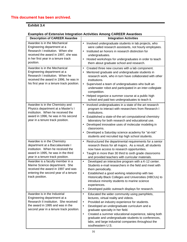### **Exhibit 3.4**

#### **Examples of Extensive Integration Activities Among CAREER Awardees**

| <b>Description of CAREER Awardee</b>                                                                                                                                                       | <b>Integration Activities</b>                                                                                                                                                                                                                                                                                                                                                                                                                                             |
|--------------------------------------------------------------------------------------------------------------------------------------------------------------------------------------------|---------------------------------------------------------------------------------------------------------------------------------------------------------------------------------------------------------------------------------------------------------------------------------------------------------------------------------------------------------------------------------------------------------------------------------------------------------------------------|
| Awardee is in the Mechanical<br>Engineering department at a<br>Research I institution. When she<br>received the award in 1997, she was<br>in her first year in a tenure track<br>position. | Involved undergraduate students in lab projects, who<br>$\bullet$<br>were called research assistants, not hourly employees.<br>Instituted an honors in research distinction for<br>$\bullet$<br>undergraduates.<br>Hosted workshops for undergraduates in order to teach<br>$\bullet$<br>them about graduate school and research.                                                                                                                                         |
| Awardee is in the Mechanical<br>Engineering department at a<br>Research I institution. When he<br>received the award in 1996, he was in<br>his first year in a tenure track position.      | Created three new courses with a lab component.<br>$\bullet$<br>Mentored graduate and undergraduate students in<br>research work, who in turn have collaborated with other<br>institutions.<br>Supervised a team of undergraduates who built an<br>$\bullet$<br>underwater robot and participated in an inter-collegiate<br>competition.<br>Helped organize a summer course at a public high<br>school and paid two undergraduates to teach it.                           |
| Awardee is in the Chemistry and<br>Physics department at a Master's I<br>institution. When he received the<br>award in 1996, he was in his second<br>year in a tenure track position.      | Involved undergraduates in a state of the art research<br>$\bullet$<br>program to interact with researchers from Research I<br>Institutions.<br>Established a state-of-the-art computational chemistry<br>$\bullet$<br>laboratory for both research and educational use.<br>Developed innovative uses of molecular modeling in<br>$\bullet$<br>classrooms.<br>Developed a Saturday science academy for "at-risk"<br>students and recruited top high school students.      |
| Awardee is in the Chemistry<br>department at a Baccalaureate I<br>institution. When he received the<br>award in 1995, he was in the third<br>year in a tenure track position.              | Restructured the departmental requirements for a senior<br>$\bullet$<br>research thesis for all majors. As a result, all students<br>now have access to research opportunities.<br>Taught in more than 30 third to sixth grade classrooms<br>$\bullet$<br>and provided teachers with curricular materials.                                                                                                                                                                |
| Awardee is a faculty member in a<br>Marine Science department. She<br>received the award in 1997 and was<br>entering the second year of a tenure<br>track position.                        | Developed an interactive program with a K-12 center.<br>$\bullet$<br>Students e-mail researchers in the field and meet with<br>them periodically.<br>Established a good working relationship with two<br>Historically Black Colleges and Universities (HBCUs) to<br>introduce minority students to marine science<br>experiences.<br>Developed public outreach displays for research.<br>٠                                                                                |
| Awardee is in the Industrial<br>Engineering department at a<br>Research II institution. She received<br>the award in 1995 and was in the<br>second year in a tenure track position.        | Educated the wider community using pamphlets,<br>$\bullet$<br>lectures, virtual reality and videos.<br>Provided an industry experience for students.<br>$\bullet$<br>Developed an undergraduate curriculum and a<br>$\bullet$<br>graduate specialty in her field.<br>Created a summer educational experience, taking both<br>$\bullet$<br>graduate and undergraduate students to conferences,<br>labs, and large industrial companies throughout the<br>southeastern U.S. |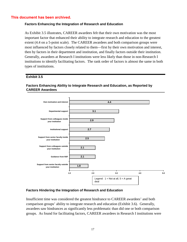#### **Factors Enhancing the Integration of Research and Education**

As Exhibit 3.5 illustrates, CAREER awardees felt that their own motivation was the most important factor that enhanced their ability to integrate research and education to the greatest extent (4.4 on a 5-point scale). The CAREER awardees and both comparison groups were most influenced by factors closely related to them—first by their own motivation and interest, then by factors in their department and institution, and finally factors outside their institution. Generally, awardees at Research I institutions were less likely than those in non-Research I institutions to identify facilitating factors. The rank order of factors is almost the same in both types of institutions.

#### **Exhibit 3.5**

#### **Factors Enhancing Ability to Integrate Research and Education, as Reported by CAREER Awardees**

![](_page_23_Figure_5.jpeg)

#### **Factors Hindering the Integration of Research and Education**

Insufficient time was considered the greatest hindrance to CAREER awardees' and both comparison groups' ability to integrate research and education (Exhibit 3.6). Generally, awardees saw hindrances as significantly less problematic than did one or both comparison groups. As found for facilitating factors, CAREER awardees in Research I institutions were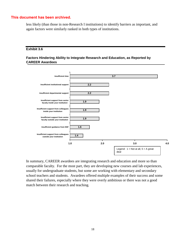less likely (than those in non-Research I institutions) to identify barriers as important, and again factors were similarly ranked in both types of institutions.

#### **Exhibit 3.6**

#### **Factors Hindering Ability to Integrate Research and Education, as Reported by CAREER Awardees**

![](_page_24_Figure_4.jpeg)

In summary, CAREER awardees are integrating research and education and more so than comparable faculty. For the most part, they are developing new courses and lab experiences, usually for undergraduate students, but some are working with elementary and secondary school teachers and students. Awardees offered multiple examples of their success and some shared their failures, especially where they were overly ambitious or there was not a good match between their research and teaching.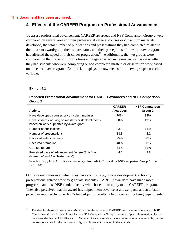## **4. Effects of the CAREER Program on Professional Advancement**

To assess professional advancement, CAREER awardees and NSF Comparison Group 2 were compared on several areas of their professional careers: courses or curriculum materials developed, the total number of publications and presentations they had completed related to their current award/grant, their tenure status, and their perceptions of how their award/grant had affected the speed of their career progression.<sup>10</sup> Additionally, the two groups were compared on their receipt of promotions and regular salary increases, as well as on whether they had students who were completing or had completed masters or dissertation work based on the current award/grant. Exhibit 4.1 displays the raw means for the two groups on each variable.

#### **Exhibit 4.1**

#### **Reported Professional Advancement for CAREER Awardees and NSF Comparison Group 2**

|                                                                                                | <b>CAREER</b> | <b>NSF Comparison</b> |
|------------------------------------------------------------------------------------------------|---------------|-----------------------|
| <b>Activity</b>                                                                                | Awardees      | Group 2               |
| Have developed courses or curriculum modules                                                   | 70%           | 34%                   |
| Have students working on master's or doctoral thesis<br>based on work supported by award/grant | 88%           | 49%                   |
| Number of publications                                                                         | 23.9          | 14.0                  |
| Number of presentations                                                                        | 13.3          | 8.2                   |
| Received salary increase                                                                       | 95%           | 88%                   |
| Received promotion                                                                             | 40%           | 38%                   |
| <b>Granted tenure</b>                                                                          | 34%           | 31%                   |
| Perceived pace of advancement (where "3" is "no<br>difference" and 4 is "faster pace")         | 4.0           | 3.8                   |

Sample size (n) for CAREER awardees ranged from 744 to 796, and for NSF Comparison Group 2 from 147 to 186.

On those outcomes over which they have control (e.g., course development, scholarly presentations, related work by graduate students), CAREER awardees have made more progress than those NSF-funded faculty who chose not to apply to the CAREER program. They also perceived that the award has helped them advance at a faster pace, and at a faster pace than reported by other NSF- funded junior faculty. On outcomes involving departmental

 $10\,$ The data for these analyses come primarily from the surveys of CAREER awardees and members of NSF Comparison Group 2. We did not include NSF Comparison Group 1 because of possible selection bias, as they were declined CAREER awards. Number of awards received was a potential outcome variable, but the non-response rate for the item was so high that it was not included in the analysis.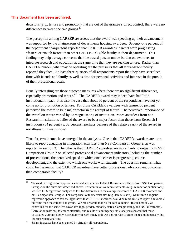decisions (e.g., tenure and promotion) that are out of the grantee's direct control, there were no differences between the two groups. $^{11}$ 

The perception among CAREER awardees that the award was speeding up their advancement was supported by the chairpersons of departments housing awardees. Seventy-one percent of the department chairpersons reported that CAREER awardees' careers were progressing "faster" or "much faster" than other CAREER-eligible faculty in their department. This finding may help assuage concerns that the award puts an undue burden on awardees to integrate research and education at the same time that they are seeking tenure. Rather than CAREER burden, what may be operating are the pressures that all tenure-track faculty reported they face. At least three-quarters of all respondents report that they have sacrificed time with friends and family as well as time for personal activities and interests in the pursuit of their professional goals.

Equally interesting are those outcome measures where there are no significant differences, especially promotion and tenure.<sup>12</sup> The CAREER award may indeed have had little institutional impact. It is also the case that about 60 percent of the respondents have not yet come up for promotion or tenure. For those CAREER awardees with tenure, 56 percent perceived the award to be a major factor in the receipt of tenure. The perceived importance of the award on tenure varied by Carnegie Rating of institution. More awardees from non-Research I institutions believed the award to be a major factor than those from Research I institutions (64 percent vs. 52 percent), perhaps because of the relative rarity of the award in non-Research I institutions.

Thus far, two themes have emerged in the analysis. One is that CAREER awardees are more likely to report engaging in integration activities than NSF Comparison Group 2, as was reported in section 3. The other is that CAREER awardees are more likely to outperform NSF Comparison Group 2 on selected professional advancement indicators, including the number of presentations, the perceived speed at which one's career is progressing, course development, and the extent to which one works with students. The question remains, what could be the reason that CAREER awardees have better professional advancement outcomes than comparable faculty?

 $11$ We used two regression approaches to evaluate whether CAREER awardees differed from NSF Comparison Group 2 on the outcomes described above. For continuous outcome variables (e.g., number of publications), we used OLS regression analyses to test for differences in the average outcomes of CAREER awardees and NSF Comparison Group 2. For categorical outcome variables (e.g., tenure status), we utilized a logistic regression approach to test the hypothesis that CAREER awardees would be more likely to report a favorable outcome than the comparison group. We ran separate models for each outcome. In each model, we controlled for the same five covariates (age, gender, minority status, Carnegie rating, and NSF directorate). Correlation matrices, tolerance statistics, and results of contingency table analyses showed that these covariates were not highly correlated with each other, so it was appropriate to enter them simultaneously into the subsequent analyses.<br><sup>12</sup> Salary increases have been earned by virtually all respondents.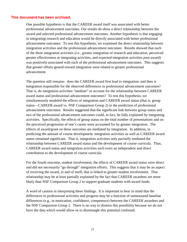One possible hypothesis is that the CAREER award itself was associated with better professional advancement outcomes. Our results do show a direct relationship between the award and selected professional advancement outcomes. Another hypothesis is that engaging in integrating research and education would be directly associated with better professional advancement outcomes. To test this hypothesis, we examined the direct relationship between integration activities and the professional advancement outcomes. Results showed that each of the three integration activities (i.e., greater integration of research and education, perceived greater effectiveness at integrating activities, and expected integration activities post-award) was positively associated with each of the professional advancement outcomes. This suggests that greater efforts geared toward integration were related to greater professional advancement.

The question still remains: does the CAREER award first lead to integration, and then is integration responsible for the observed differences in professional advancement outcomes? That is, do integration activities "mediate" or account for the relationship between CAREER award status and professional advancement outcomes? To test this hypothesis, we simultaneously modeled the effects of integration and CAREER award status (that is, group status—CAREER award vs. NSF Comparison Group 2) in the prediction of professional advancement outcomes. Results suggested that the significant link between group status and two of the professional advancement outcomes could, in fact, be fully explained by integrating activities. Specifically, the effects of group status on the total number of presentations and on the perceived progression of one's career were accounted for by greater integration. The effects of award/grant on these outcomes are mediated by integration. In addition, in predicting the amount of course development, integration activities as well as CAREER award status remained significant. That is, integration activities only *partially* mediated the relationship between CAREER award status and the development of course curricula. Thus, CAREER award status and integration activities each exert an independent and direct contribution to the development of course curricula.

For the fourth outcome, student involvement, the effects of CAREER award status were direct and did not necessarily "go through" integration efforts. This suggests that it may be an aspect of receiving the award, in and of itself, that is linked to greater student involvement. That relationship may be at least partially explained by the fact that CAREER awardees are more likely than NSF Comparison Group 2 to support graduate students with award funds.

A word of caution in interpreting these findings. It is important to bear in mind that the differences in professional activities and progress may be a function of unmeasured baseline differences (e.g., in motivation, confidence, competence) between the CAREER awardees and the NSF Comparison Group 2. There is no way to dismiss this possibility because we do not have the data which would allow us to disentangle this potential confound.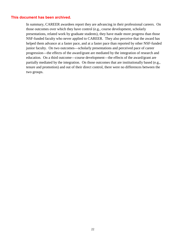In summary, CAREER awardees report they are advancing in their professional careers. On those outcomes over which they have control (e.g., course development, scholarly presentations, related work by graduate students), they have made more progress than those NSF-funded faculty who never applied to CAREER. They also perceive that the award has helped them advance at a faster pace, and at a faster pace than reported by other NSF-funded junior faculty. On two outcomes—scholarly presentations and perceived pace of career progression—the effects of the award/grant are mediated by the integration of research and education. On a third outcome—course development—the effects of the award/grant are partially mediated by the integration. On those outcomes that are institutionally based (e.g., tenure and promotion) and out of their direct control, there were no differences between the two groups.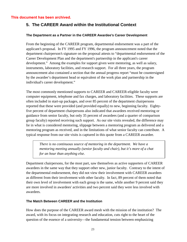## **5. The CAREER Award within the Institutional Context**

#### **The Department as a Partner in the CAREER Awardee's Career Development**

From the beginning of the CAREER program, departmental endorsement was a part of the applicant's proposal. In FY 1995 and FY 1996, the program announcement noted that the department chairperson's signature on the proposal attests to "departmental endorsement of the Career Development Plan and the department's partnership in the applicant's career development." Among the examples for support given were mentoring, as well as salary, instruments, laboratory facilities, and research support. For all three years, the program announcement also contained a section that the annual progress report "must be countersigned by the awardee's department head or equivalent of the work plan and partnership in the individual's career development."

The most commonly mentioned supports to CAREER and CAREER-eligible faculty were computer equipment, telephone and fax charges, and laboratory facilities. These supports are often included in start-up packages, and over 85 percent of the department chairpersons reported that these were provided (and provided equally) to new, beginning faculty. Eightyfive percent of department chairpersons also indicated that awardees received mentoring or guidance from senior faculty, but only 35 percent of awardees (and a quarter of comparison group faculty) reported receiving such support. As our site visits revealed, the difference may lie in what is considered mentoring, slippage between a mentoring program as delivered and a mentoring program as received, and in the limitations of what senior faculty can contribute. A typical response from our site visits is captured in this quote from a CAREER awardee.

*There is no continuous source of mentoring in the department. We have a mentoring meeting annually (senior faculty and chair), but it's more of a chat for an hour than anything else.* 

Department chairpersons, for the most part, saw themselves as active supporters of CAREER awardees in the same way that they support other new, junior faculty. Contrary to the intent of the departmental endorsement, they did not view their involvement with CAREER awardees as different from their involvement with other faculty. In fact, 89 percent of them noted that their own level of involvement with each group is the same, while another 9 percent said they are more involved in awardees' activities and two percent said they were less involved with awardees.

#### **The Match Between CAREER and the Institution**

How does the purpose of the CAREER award mesh with the mission of the institution? The award, with its focus on integrating research and education, cuts right to the heart of the question of the essence of a university—the fundamental tension between emphasizing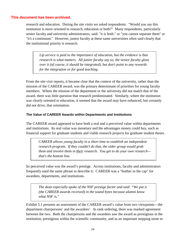research and education. During the site visits we asked respondents: "Would you say this institution is more oriented to research, education or both?" Many respondents, particularly senior faculty and university administrators, said: "it is both." or "you cannot separate them" or "it's a continuum." However, junior faculty at these same universities often said clearly that the institutional priority is research.

*Lip service is paid to the importance of education, but the evidence is that research is what matters. All junior faculty say so, the senior faculty gloss over it (of course, it should be integrated), but don't point to any rewards for the integration or for good teaching.* 

From the site visit reports, it became clear that the context of the university, rather than the mission of the CAREER award, was the primary determinant of priorities for young faculty members. Where the mission of the department or the university did not match that of the award, there was little question that research predominated. Similarly, where the institution was clearly oriented to education, it seemed that the award may have enhanced, but certainly did not drive, that orientation.

#### **The Value of CAREER Awards within Departments and Institutions**

The CAREER award appeared to have both a real and a perceived value within departments and institutions. Its real value was monetary and the advantages money could buy, such as financial support for graduate students and viable research projects for graduate student theses.

*CAREER allows young faculty in a short time to establish an independent research program. If they couldn't do that, the older group would grab them and involve them in their research. You get to do your own research that's the bottom line.*

Its perceived value was the award's prestige. Across institutions, faculty and administrators frequently used the same phrase to describe it: CAREER was a "feather in the cap" for awardees, departments, and institutions.

*The dean especially spoke of the NSF prestige factor and said: "We put it (the CAREER awards received) in the sound bytes because alumni know what NSF is."* 

Exhibit 5.1 presents an assessment of the CAREER award's value from two viewpoints—the department chairpersons' and the awardees'. In rank ordering, there was marked agreement between the two. Both the chairpersons and the awardees saw the award as prestigious in the institution, prestigious within the scientific community, and as an important stepping stone to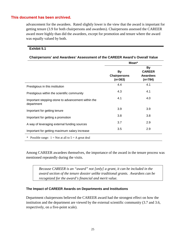advancement for the awardees. Rated slightly lower is the view that the award is important for getting tenure (3.9 for both chairpersons and awardees). Chairpersons assessed the CAREER award more highly than did the awardees, except for promotion and tenure where the award was equally valued by both.

#### **Exhibit 5.1**

|                                                                  | Mean*                                         |                                                            |  |
|------------------------------------------------------------------|-----------------------------------------------|------------------------------------------------------------|--|
|                                                                  | <b>By</b><br><b>Chairpersons</b><br>$(n=363)$ | <b>By</b><br><b>CAREER</b><br><b>Awardees</b><br>$(n=784)$ |  |
| Prestigious in this institution                                  | 4.4                                           | 4.1                                                        |  |
| Prestigious within the scientific community                      | 4.3                                           | 4.1                                                        |  |
| Important stepping-stone to advancement within the<br>department | 4.1                                           | 4.0                                                        |  |
| Important for getting tenure                                     | 3.9                                           | 3.9                                                        |  |
| Important for getting a promotion                                | 3.8                                           | 3.8                                                        |  |
| A way of leveraging external funding sources                     | 3.7                                           | 2.9                                                        |  |
| Important for getting maximum salary increase                    | 3.5                                           | 2.9                                                        |  |

#### **Chairpersons' and Awardees' Assessment of the CAREER Award's Overall Value**

Among CAREER awardees themselves, the importance of the award in the tenure process was mentioned repeatedly during the visits.

*Because CAREER is an "award" not [only] a grant, it can be included in the award section of the tenure dossier unlike traditional grants. Awardees can be recognized for the award's financial and merit value.*

#### **The Impact of CAREER Awards on Departments and Institutions**

Department chairpersons believed the CAREER award had the strongest effect on how the institution and the department are viewed by the external scientific community (3.7 and 3.6, respectively, on a five-point scale).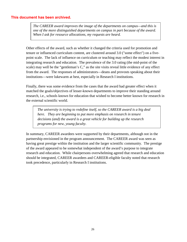*The CAREER award improves the image of the departments on campus—and this is one of the more distinguished departments on campus in part because of the award. When I ask for resource allocations, my requests are heard.*

Other effects of the award, such as whether it changed the criteria used for promotion and tenure or influenced curriculum content, are clustered around 3.0 ("some effect") on a fivepoint scale. The lack of influence on curriculum or teaching may reflect the modest interest in integrating research and education. The prevalence of the 3.0 rating (the mid-point of the scale) may well be the "gentleman's C," as the site visits reveal little evidence of any effect from the award. The responses of administrators—deans and provosts speaking about their institutions—were lukewarm at best, especially in Research I institutions.

Finally, there was some evidence from the cases that the award had greater effect when it matched the goals/objectives of lesser-known departments to improve their standing around research, i.e., schools known for education that wished to become better known for research in the external scientific world.

*The university is trying to redefine itself, so the CAREER award is a big deal here. They are beginning to put more emphasis on research in tenure decisions (and) the award is a great vehicle for building up the research programs for new, young faculty.* 

In summary, CAREER awardees were supported by their departments, although not in the partnership envisioned in the program announcement. The CAREER award was seen as having great prestige within the institution and the larger scientific community. The prestige of the award appeared to be somewhat independent of the award's purpose to integrate research and education. While chairpersons overwhelming agreed that research and education should be integrated, CAREER awardees and CAREER-eligible faculty noted that research took precedence, particularly in Research I institutions.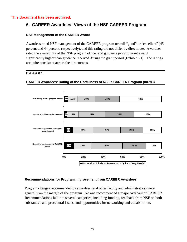## **6. CAREER Awardees´ Views of the NSF CAREER Program**

#### **NSF Management of the CAREER Award**

Awardees rated NSF management of the CAREER program overall "good" or "excellent" (45 percent and 44 percent, respectively), and this rating did not differ by directorate. Awardees rated the availability of the NSF program officer and guidance *prior* to grant award significantly higher than guidance received *during* the grant period (Exhibit 6.1). The ratings are quite consistent across the directorates.

#### **Exhibit 6.1**

#### **CAREER Awardees' Rating of the Usefulness of NSF's CAREER Program (n=783)**

![](_page_33_Figure_6.jpeg)

#### **Recommendations for Program Improvement from CAREER Awardees**

Program changes recommended by awardees (and other faculty and administrators) were generally on the margin of the program. No one recommended a major overhaul of CAREER. Recommendations fall into several categories, including funding, feedback from NSF on both substantive and procedural issues, and opportunities for networking and collaboration.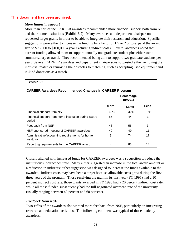#### *More financial support*

More than half of the CAREER awardees recommended more financial support both from NSF and their home institutions (Exhibit 6.2). Many awardees and department chairpersons requested larger grants in order to be able to integrate their research and education. Specific suggestions were either to increase the funding by a factor of 1.5 or 2 or to expand the award size to \$75,000 to \$100,000 a year excluding indirect costs. Several awardees noted that current funding allowed them to support annually one graduate student plus either some summer salary or travel. They recommended being able to support two graduate students per year. Several CAREER awardees and department chairpersons suggested either removing the industrial match or removing the obstacles to matching, such as accepting used equipment and in-kind donations as a match.

#### **Exhibit 6.2**

|                                                                | Percentage<br>(n=791) |      |       |  |
|----------------------------------------------------------------|-----------------------|------|-------|--|
|                                                                | <b>More</b>           | Same | Less  |  |
| Financial support from NSF                                     | 68%                   | 32%  | $0\%$ |  |
| Financial support from home institution during award<br>period | 55                    | 44   | 1     |  |
| Feedback from NSF                                              | 43                    | 55   | 3     |  |
| NSF-sponsored meeting of CAREER awardees                       | 40                    | 49   | 11    |  |
| Administrative/accounting requirements for home<br>institution | 9                     | 74   | 17    |  |
| Reporting requirements for the CAREER award                    | 4                     | 83   | 14    |  |

#### **CAREER Awardees Recommended Changes in CAREER Program**

Closely aligned with increased funds for CAREER awardees was a suggestion to reduce the institution's indirect cost rate. Many either suggested an increase in the total award amount or a reduction in indirects; either suggestion was designed to increase the funds available to the awardee. Indirect costs may have been a target because allowable costs grew during the first three years of the program. Those receiving the grant in its first year (FY 1995) had a 10 percent indirect cost rate, those grants awarded in FY 1996 had a 20 percent indirect cost rate, while all those funded subsequently had the full negotiated overhead rate of the university (usually ranging between 40 percent and 60 percent).

#### *Feedback from NSF*

Two-fifths of the awardees also wanted more feedback from NSF, particularly on integrating research and education activities. The following comment was typical of those made by awardees.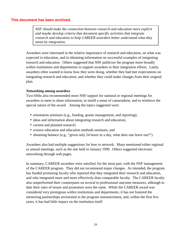*NSF should make the connection between research and education more explicit and maybe develop criteria that document specific activities that integrate research and education to help CAREER awardees better understand what they mean by integration.*

Awardees were interested in the relative importance of research and education, on what was expected in education, and in obtaining information on successful examples of integrating research and education. Others suggested that NSF publicize the program more broadly within institutions and departments to support awardees in their integration efforts. Lastly, awardees often wanted to know how they were doing, whether they had met expectations on integrating research and education, and whether they could make changes from their original plan.

#### *Networking among awardees*

Two-fifths also recommended more NSF support for national or regional meetings for awardees to meet to share information, to instill a sense of camaraderie, and to reinforce the special nature of the award. Among the topics suggested were:

- orientation seminars (e.g., funding, grants management, and reporting);
- ideas and information about integrating research and education;
- current and planned research;
- science education and education methods seminars; and
- obtaining balance (e.g., "given only 24 hours in a day, what does one leave out?")

Awardees also had multiple suggestions for how to network. Many mentioned either regional or annual meetings, such as the one held in January 1999. Others suggested electronic networking through web pages.

In summary, CAREER awardees were satisfied, for the most part, with the NSF management of the CAREER program. They did not recommend major changes. As intended, the program has funded promising faculty who reported that they integrated their research and education, and who integrated more and more effectively than comparable faculty. The CAREER faculty also outperformed their counterparts on several to professional outcome measures, although to date their rates of tenure and promotion were the same. While the CAREER award was considered very prestigious within institutions and departments, it has not fostered the mentoring partnerships envisioned in the program announcement, and, within the first five years, it has had little impact on the institution itself.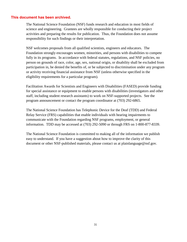The National Science Foundation (NSF) funds research and education in most fields of science and engineering. Grantees are wholly responsible for conducting their project activities and preparing the results for publication. Thus, the Foundation does not assume responsibility for such findings or their interpretation.

NSF welcomes proposals from all qualified scientists, engineers and educators. The Foundation strongly encourages women, minorities, and persons with disabilities to compete fully in its programs. In accordance with federal statutes, regulations, and NSF policies, no person on grounds of race, color, age, sex, national origin, or disability shall be excluded from participation in, be denied the benefits of, or be subjected to discrimination under any program or activity receiving financial assistance from NSF (unless otherwise specified in the eligibility requirements for a particular program).

Facilitation Awards for Scientists and Engineers with Disabilities (FASED) provide funding for special assistance or equipment to enable persons with disabilities (investigators and other staff, including student research assistants) to work on NSF-supported projects. See the program announcement or contact the program coordinator at (703) 292-6865.

The National Science Foundation has Telephonic Device for the Deaf (TDD) and Federal Relay Service (FRS) capabilities that enable individuals with hearing impairments to communicate with the Foundation regarding NSF programs, employment, or general information. TDD may be accessed at (703) 292-5090 or through FRS on 1-800-877-8339.

The National Science Foundation is committed to making all of the information we publish easy to understand. If you have a suggestion about how to improve the clarity of this document or other NSF-published materials, please contact us at plainlanguage@nsf.gov.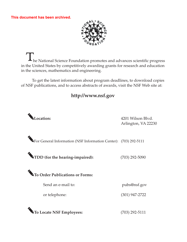![](_page_37_Picture_1.jpeg)

he National Science Foundation promotes and advances scientific progress in the United States by competitively awarding grants for research and education in the sciences, mathematics and engineering.

To get the latest information about program deadlines, to download copies of NSF publications, and to access abstracts of awards, visit the NSF Web site at:

## **<http://www.nsf.gov>**

![](_page_37_Picture_5.jpeg)

4201 Wilson Blvd. Arlington, VA 22230

For General Information (NSF Information Center): (703) 292-5111

**TDD (for the hearing-impaired):** (703) 292-5090

**To Order Publications or Forms:**

Send an e-mail to:

or telephone:

**To Locate NSF Employees:**

pubs@nsf.gov

(301) 947-2722

(703) 292-5111